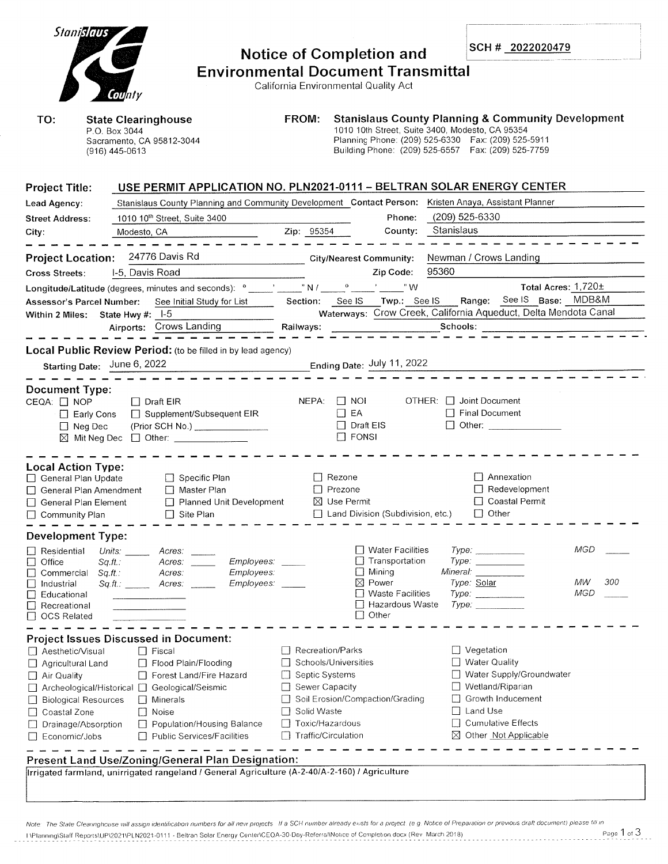| Stanislaus                                                                                                                                                                                   |                         |                                                                                                                                                                                                                                                                                                                                                                                                              |                                                                                                  |                                          | <b>Notice of Completion and</b>           |                      |                                                                                                                                                               |                                   | SCH # 2022020479        |                                                                 |           |
|----------------------------------------------------------------------------------------------------------------------------------------------------------------------------------------------|-------------------------|--------------------------------------------------------------------------------------------------------------------------------------------------------------------------------------------------------------------------------------------------------------------------------------------------------------------------------------------------------------------------------------------------------------|--------------------------------------------------------------------------------------------------|------------------------------------------|-------------------------------------------|----------------------|---------------------------------------------------------------------------------------------------------------------------------------------------------------|-----------------------------------|-------------------------|-----------------------------------------------------------------|-----------|
|                                                                                                                                                                                              |                         |                                                                                                                                                                                                                                                                                                                                                                                                              |                                                                                                  |                                          | <b>Environmental Document Transmittal</b> |                      |                                                                                                                                                               |                                   |                         |                                                                 |           |
|                                                                                                                                                                                              |                         | County                                                                                                                                                                                                                                                                                                                                                                                                       |                                                                                                  |                                          |                                           |                      | California Environmental Quality Act                                                                                                                          |                                   |                         |                                                                 |           |
| TO:                                                                                                                                                                                          |                         | P.O. Box 3044                                                                                                                                                                                                                                                                                                                                                                                                | <b>State Clearinghouse</b><br>Sacramento, CA 95812-3044                                          |                                          | FROM:                                     |                      | 1010 10th Street, Suite 3400, Modesto, CA 95354<br>Planning Phone: (209) 525-6330  Fax: (209) 525-5911<br>Building Phone: (209) 525-6557  Fax: (209) 525-7759 |                                   |                         | <b>Stanislaus County Planning &amp; Community Development</b>   |           |
|                                                                                                                                                                                              |                         | (916) 445-0613                                                                                                                                                                                                                                                                                                                                                                                               |                                                                                                  |                                          |                                           |                      |                                                                                                                                                               |                                   |                         |                                                                 |           |
| <b>Project Title:</b>                                                                                                                                                                        |                         |                                                                                                                                                                                                                                                                                                                                                                                                              | USE PERMIT APPLICATION NO. PLN2021-0111 - BELTRAN SOLAR ENERGY CENTER                            |                                          |                                           |                      |                                                                                                                                                               |                                   |                         |                                                                 |           |
| Stanislaus County Planning and Community Development Contact Person: Kristen Anaya, Assistant Planner<br>Lead Agency:                                                                        |                         |                                                                                                                                                                                                                                                                                                                                                                                                              |                                                                                                  |                                          |                                           |                      |                                                                                                                                                               | (209) 525-6330                    |                         |                                                                 |           |
| <b>Street Address:</b>                                                                                                                                                                       |                         | Modesto, CA                                                                                                                                                                                                                                                                                                                                                                                                  | 1010 10 <sup>th</sup> Street, Suite 3400                                                         |                                          | Zip: 95354                                |                      | Phone:<br>County:                                                                                                                                             | Stanislaus                        |                         |                                                                 |           |
| City:                                                                                                                                                                                        |                         |                                                                                                                                                                                                                                                                                                                                                                                                              |                                                                                                  |                                          |                                           |                      |                                                                                                                                                               |                                   |                         |                                                                 |           |
| <b>Project Location:</b>                                                                                                                                                                     |                         |                                                                                                                                                                                                                                                                                                                                                                                                              | 24776 Davis Rd                                                                                   |                                          |                                           |                      | <b>City/Nearest Community:</b>                                                                                                                                |                                   |                         | Newman / Crows Landing                                          |           |
| <b>Cross Streets:</b>                                                                                                                                                                        |                         | I-5, Davis Road                                                                                                                                                                                                                                                                                                                                                                                              |                                                                                                  |                                          |                                           |                      | Zip Code:                                                                                                                                                     | 95360                             |                         |                                                                 |           |
|                                                                                                                                                                                              |                         |                                                                                                                                                                                                                                                                                                                                                                                                              | Longitude/Latitude (degrees, minutes and seconds): $^{\circ}$ _____' _____" N / _____" ______" W |                                          |                                           |                      |                                                                                                                                                               |                                   |                         | Total Acres: 1,720±                                             |           |
| Assessor's Parcel Number:                                                                                                                                                                    |                         |                                                                                                                                                                                                                                                                                                                                                                                                              |                                                                                                  |                                          |                                           |                      |                                                                                                                                                               |                                   |                         |                                                                 |           |
| Within 2 Miles: State Hwy #: 1-5                                                                                                                                                             |                         |                                                                                                                                                                                                                                                                                                                                                                                                              |                                                                                                  |                                          |                                           |                      |                                                                                                                                                               |                                   |                         | Waterways: Crow Creek, California Aqueduct, Delta Mendota Canal |           |
|                                                                                                                                                                                              |                         |                                                                                                                                                                                                                                                                                                                                                                                                              | Airports: Crows Landing                                                                          |                                          | Railways:                                 |                      |                                                                                                                                                               |                                   | Schools:                |                                                                 |           |
|                                                                                                                                                                                              |                         |                                                                                                                                                                                                                                                                                                                                                                                                              |                                                                                                  |                                          |                                           |                      |                                                                                                                                                               |                                   |                         |                                                                 |           |
| Starting Date: June 6, 2022                                                                                                                                                                  |                         |                                                                                                                                                                                                                                                                                                                                                                                                              | Local Public Review Period: (to be filled in by lead agency)                                     |                                          |                                           |                      | Ending Date: July 11, 2022                                                                                                                                    |                                   |                         |                                                                 |           |
|                                                                                                                                                                                              |                         |                                                                                                                                                                                                                                                                                                                                                                                                              |                                                                                                  |                                          |                                           |                      |                                                                                                                                                               |                                   |                         |                                                                 |           |
| <b>Document Type:</b>                                                                                                                                                                        |                         |                                                                                                                                                                                                                                                                                                                                                                                                              |                                                                                                  |                                          |                                           |                      |                                                                                                                                                               |                                   |                         |                                                                 |           |
| CEQA: □ NOP                                                                                                                                                                                  |                         |                                                                                                                                                                                                                                                                                                                                                                                                              | $\Box$ Draft EIR                                                                                 |                                          |                                           | NEPA: 1 NOI          |                                                                                                                                                               | OTHER: □ Joint Document           |                         |                                                                 |           |
| $\Box$ Final Document<br>$\Box$ EA<br>□ Supplement/Subsequent EIR<br>$\Box$ Early Cons<br>$\Box$ Draft EIS<br>(Prior SCH No.) ________________<br>□ Other: _______________<br>$\Box$ Neg Dec |                         |                                                                                                                                                                                                                                                                                                                                                                                                              |                                                                                                  |                                          |                                           |                      |                                                                                                                                                               |                                   |                         |                                                                 |           |
|                                                                                                                                                                                              | $\boxtimes$ Mit Neg Dec |                                                                                                                                                                                                                                                                                                                                                                                                              | $\Box$ Other: _______________                                                                    |                                          |                                           | $\Box$ FONSI         |                                                                                                                                                               |                                   |                         |                                                                 |           |
|                                                                                                                                                                                              |                         |                                                                                                                                                                                                                                                                                                                                                                                                              |                                                                                                  |                                          |                                           |                      |                                                                                                                                                               |                                   |                         |                                                                 |           |
| <b>Local Action Type:</b>                                                                                                                                                                    |                         |                                                                                                                                                                                                                                                                                                                                                                                                              |                                                                                                  |                                          |                                           |                      |                                                                                                                                                               |                                   |                         |                                                                 |           |
| General Plan Update                                                                                                                                                                          |                         |                                                                                                                                                                                                                                                                                                                                                                                                              | $\Box$ Specific Plan                                                                             |                                          |                                           | ∐ Rezone             |                                                                                                                                                               |                                   |                         | Annexation                                                      |           |
| Master Plan<br>General Plan Amendment<br>$\Box$ Planned Unit Development<br>General Plan Element                                                                                             |                         |                                                                                                                                                                                                                                                                                                                                                                                                              |                                                                                                  | $\Box$ Prezone<br>$\boxtimes$ Use Permit |                                           |                      |                                                                                                                                                               | Redevelopment<br>□ Coastal Permit |                         |                                                                 |           |
| $\Box$ Community Plan                                                                                                                                                                        |                         |                                                                                                                                                                                                                                                                                                                                                                                                              | $\Box$ Site Plan                                                                                 |                                          |                                           |                      | Land Division (Subdivision, etc.)                                                                                                                             |                                   | $\sqcup$ Other          |                                                                 |           |
|                                                                                                                                                                                              |                         |                                                                                                                                                                                                                                                                                                                                                                                                              |                                                                                                  |                                          |                                           |                      |                                                                                                                                                               |                                   |                         |                                                                 |           |
| <b>Development Type:</b>                                                                                                                                                                     |                         |                                                                                                                                                                                                                                                                                                                                                                                                              |                                                                                                  |                                          |                                           |                      |                                                                                                                                                               |                                   |                         |                                                                 |           |
| Residential<br>Office<br>ப                                                                                                                                                                   | $Sqft$ .:               | Units: $\frac{1}{\sqrt{1-\frac{1}{2}}\sqrt{1-\frac{1}{2}}\sqrt{1-\frac{1}{2}}\sqrt{1-\frac{1}{2}}\sqrt{1-\frac{1}{2}}\sqrt{1-\frac{1}{2}}\sqrt{1-\frac{1}{2}}\sqrt{1-\frac{1}{2}}\sqrt{1-\frac{1}{2}}\sqrt{1-\frac{1}{2}}\sqrt{1-\frac{1}{2}}\sqrt{1-\frac{1}{2}}\sqrt{1-\frac{1}{2}}\sqrt{1-\frac{1}{2}}\sqrt{1-\frac{1}{2}}\sqrt{1-\frac{1}{2}}\sqrt{1-\frac{1}{2}}\sqrt{1-\frac{1}{2}}\sqrt{1-\frac{1}{2$ | Acres:<br>Acres:                                                                                 | Employees:                               |                                           |                      | Water Facilities<br>$\Box$ Transportation                                                                                                                     |                                   | Type:                   |                                                                 | MGD       |
| Commercial                                                                                                                                                                                   | Sq.H.                   |                                                                                                                                                                                                                                                                                                                                                                                                              | Acres:                                                                                           | Employees:                               |                                           |                      | $\Box$ Mining                                                                                                                                                 |                                   | Mineral: <b>Mineral</b> |                                                                 |           |
| $\Box$<br>Industrial                                                                                                                                                                         |                         | $Sq.H.:$ Acres:                                                                                                                                                                                                                                                                                                                                                                                              |                                                                                                  | Employees:                               |                                           |                      | $\boxtimes$ Power                                                                                                                                             |                                   | Type: Solar             |                                                                 | 300<br>MW |
| $\Box$<br>Educational<br>Recreational                                                                                                                                                        |                         |                                                                                                                                                                                                                                                                                                                                                                                                              |                                                                                                  |                                          |                                           |                      | <b>Waste Facilities</b><br>Hazardous Waste                                                                                                                    |                                   | Type:<br>Type:          |                                                                 | MGD       |
| □ OCS Related                                                                                                                                                                                |                         |                                                                                                                                                                                                                                                                                                                                                                                                              |                                                                                                  |                                          |                                           |                      | Other                                                                                                                                                         |                                   |                         |                                                                 |           |
|                                                                                                                                                                                              |                         |                                                                                                                                                                                                                                                                                                                                                                                                              |                                                                                                  |                                          |                                           |                      |                                                                                                                                                               |                                   |                         |                                                                 |           |
| Aesthetic/Visual                                                                                                                                                                             |                         |                                                                                                                                                                                                                                                                                                                                                                                                              | <b>Project Issues Discussed in Document:</b><br>$\Box$ Fiscal                                    |                                          | Recreation/Parks                          |                      |                                                                                                                                                               |                                   | $\Box$ Vegetation       |                                                                 |           |
| □ Agricultural Land                                                                                                                                                                          |                         |                                                                                                                                                                                                                                                                                                                                                                                                              | Flood Plain/Flooding                                                                             |                                          |                                           | Schools/Universities |                                                                                                                                                               |                                   | □ Water Quality         |                                                                 |           |
| Forest Land/Fire Hazard<br>Air Quality                                                                                                                                                       |                         |                                                                                                                                                                                                                                                                                                                                                                                                              |                                                                                                  | Septic Systems                           |                                           |                      | Water Supply/Groundwater                                                                                                                                      |                                   |                         |                                                                 |           |
| □ Archeological/Historical □ Geological/Seismic                                                                                                                                              |                         |                                                                                                                                                                                                                                                                                                                                                                                                              |                                                                                                  |                                          | Sewer Capacity                            |                      |                                                                                                                                                               | Wetland/Riparian                  |                         |                                                                 |           |
| <b>Biological Resources</b><br>$\Box$ Minerals                                                                                                                                               |                         |                                                                                                                                                                                                                                                                                                                                                                                                              |                                                                                                  | Soil Erosion/Compaction/Grading          |                                           |                      | □ Growth Inducement<br>Land Use                                                                                                                               |                                   |                         |                                                                 |           |
| Coastal Zone<br>$\Box$ Noise                                                                                                                                                                 |                         |                                                                                                                                                                                                                                                                                                                                                                                                              |                                                                                                  | Solid Waste                              |                                           |                      | <b>Cumulative Effects</b>                                                                                                                                     |                                   |                         |                                                                 |           |
| Drainage/Absorption<br>□ Population/Housing Balance<br>Public Services/Facilities<br>Economic/Jobs                                                                                           |                         |                                                                                                                                                                                                                                                                                                                                                                                                              |                                                                                                  | Toxic/Hazardous<br>Traffic/Circulation   |                                           |                      | $\boxtimes$ Other Not Applicable                                                                                                                              |                                   |                         |                                                                 |           |
|                                                                                                                                                                                              |                         |                                                                                                                                                                                                                                                                                                                                                                                                              |                                                                                                  |                                          |                                           |                      |                                                                                                                                                               |                                   |                         |                                                                 |           |
|                                                                                                                                                                                              |                         |                                                                                                                                                                                                                                                                                                                                                                                                              | Present Land Use/Zoning/General Plan Designation:                                                |                                          |                                           |                      |                                                                                                                                                               |                                   |                         |                                                                 |           |
|                                                                                                                                                                                              |                         |                                                                                                                                                                                                                                                                                                                                                                                                              | Irrigated farmland, unirrigated rangeland / General Agriculture (A-2-40/A-2-160) / Agriculture   |                                          |                                           |                      |                                                                                                                                                               |                                   |                         |                                                                 |           |
|                                                                                                                                                                                              |                         |                                                                                                                                                                                                                                                                                                                                                                                                              |                                                                                                  |                                          |                                           |                      |                                                                                                                                                               |                                   |                         |                                                                 |           |

Note: The State Clearinghouse will assign identification numbers for all new projects If a SCH number already exists for a project. (e.g. Notice of Preparation or previous draft document) please fill in I\Planning\Staff Reports\UP\2021\PLN2021-0111 - Beltran Solar Energy Center\CEOA-30-Day-Referral\Noitce of Completion docx (Rev March 2018) Page 1 of 3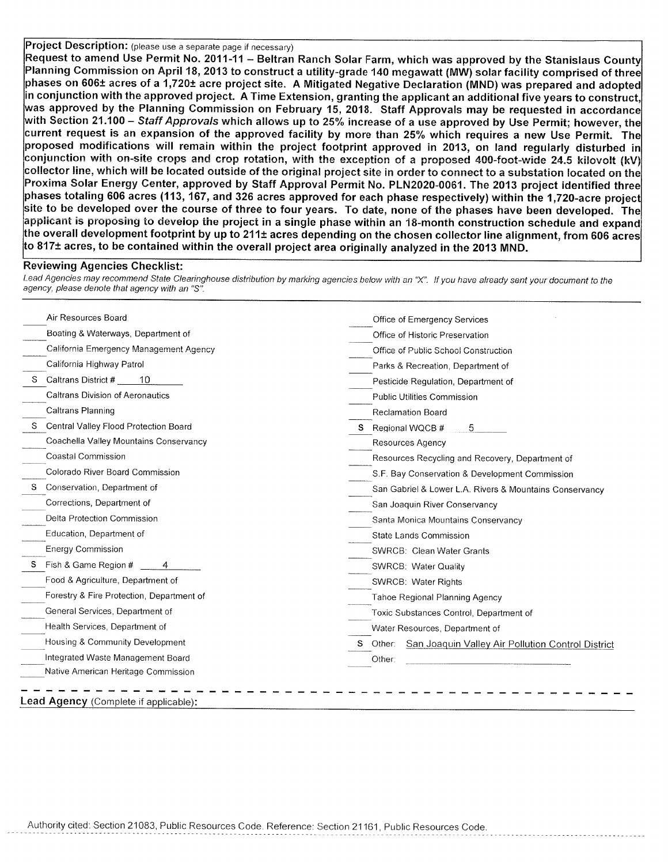## Project Description: (please use a separate page if necessary)

Request to amend Use Permit No. 2011-11 – Beltran Ranch Solar Farm, which was approved by the Stanislaus County Planning Commission on April 18, 2013 to construct a utility-grade 140 megawatt (MW) solar facility comprised of three phases on 606± acres of a 1,720± acre project site. A Mitigated Negative Declaration (MND) was prepared and adopted in conjunction with the approved project. A Time Extension, granting the applicant an additional five years to construct, was approved by the Planning Commission on February 15, 2018. Staff Approvals may be requested in accordance with Section 21.100 – *Staff Approvals* which allows up to 25% increase of a use approved by Use Permit; however, the current request is an expansion of the approved facility by more than 25% which requires a new Use Permit. The proposed modifications will remain within the project footprint approved in 2013, on land regularly disturbed in conjunction with on-site crops and crop rotation, with the exception of a proposed 400-foot-wide 24.5 kilovolt (kV) collector line, which will be located outside of the original project site in order to connect to a substation located on the Proxima Solar Energy Center, approved by Staff Approval Permit No. PLN2020-0061. The 2013 project identified three phases totaling 606 acres (113, 167, and 326 acres approved for each phase respectively) within the 1,720-acre project  $|$ site to be developed over the course of three to four years. To date, none of the phases have been developed. The $|$ applicant is proposing to develop the project in a single phase within an 18-month construction schedule and expand the overall development footprint by up to 211± acres depending on the chosen collector line alignment, from 606 acres to 817± acres, to be contained within the overall project area originally analyzed in the 2013 MND.

## **Reviewing Agencies Checklist:**

Lead Agencies may recommend State Clearinghouse distribution by marking agencies below with an "X". If you have already sent your document to the agency, please denote that agency with an "S".

| Air Resources Board                       | Office of Emergency Services                             |
|-------------------------------------------|----------------------------------------------------------|
| Boating & Waterways, Department of        | Office of Historic Preservation                          |
| California Emergency Management Agency    | Office of Public School Construction                     |
| California Highway Patrol                 | Parks & Recreation, Department of                        |
| Caltrans District #<br>10                 | Pesticide Regulation, Department of                      |
| <b>Caltrans Division of Aeronautics</b>   | Public Utilities Commission                              |
| Caltrans Planning                         | Reclamation Board                                        |
| Central Valley Flood Protection Board     | Regional WQCB #<br>5                                     |
| Coachella Valley Mountains Conservancy    | Resources Agency                                         |
| Coastal Commission                        | Resources Recycling and Recovery, Department of          |
| Colorado River Board Commission           | S.F. Bay Conservation & Development Commission           |
| S Conservation, Department of             | San Gabriel & Lower L.A. Rivers & Mountains Conservancy  |
| Corrections, Department of                | San Joaquin River Conservancy                            |
| Delta Protection Commission               | Santa Monica Mountains Conservancy                       |
| Education, Department of                  | State Lands Commission                                   |
| <b>Energy Commission</b>                  | <b>SWRCB: Clean Water Grants</b>                         |
| Fish & Game Region #                      | SWRCB: Water Quality                                     |
| Food & Agriculture, Department of         | SWRCB: Water Rights                                      |
| Forestry & Fire Protection, Department of | <b>Tahoe Regional Planning Agency</b>                    |
| General Services, Department of           | Toxic Substances Control, Department of                  |
| Health Services, Department of            | Water Resources, Department of                           |
| Housing & Community Development           | Other: San Joaquin Valley Air Pollution Control District |
| Integrated Waste Management Board         | Other:                                                   |
| Native American Heritage Commission       |                                                          |